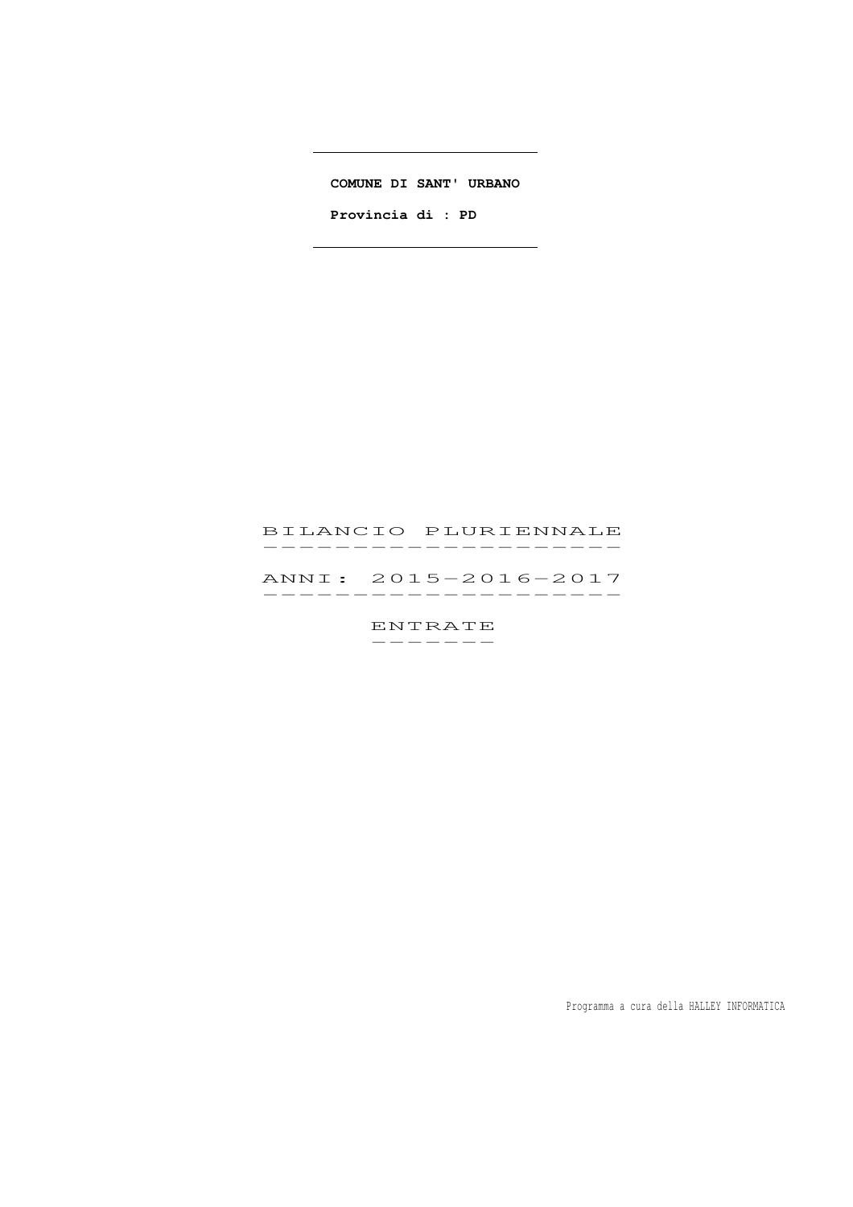**COMUNE DI SANT' URBANO**

 $\overline{\phantom{a}}$ 

 $\overline{\phantom{0}}$ 

 **Provincia di : PD** 

# BILANCIO PLURIENNALE BILANCIO PLURIENNALE<br>------------------

 ANNI: 2015-2016-2017 ANNI: 2015–2016–2017<br>-------------------

> ENTRATE -------

> > Programma a cura della HALLEY INFORMATICA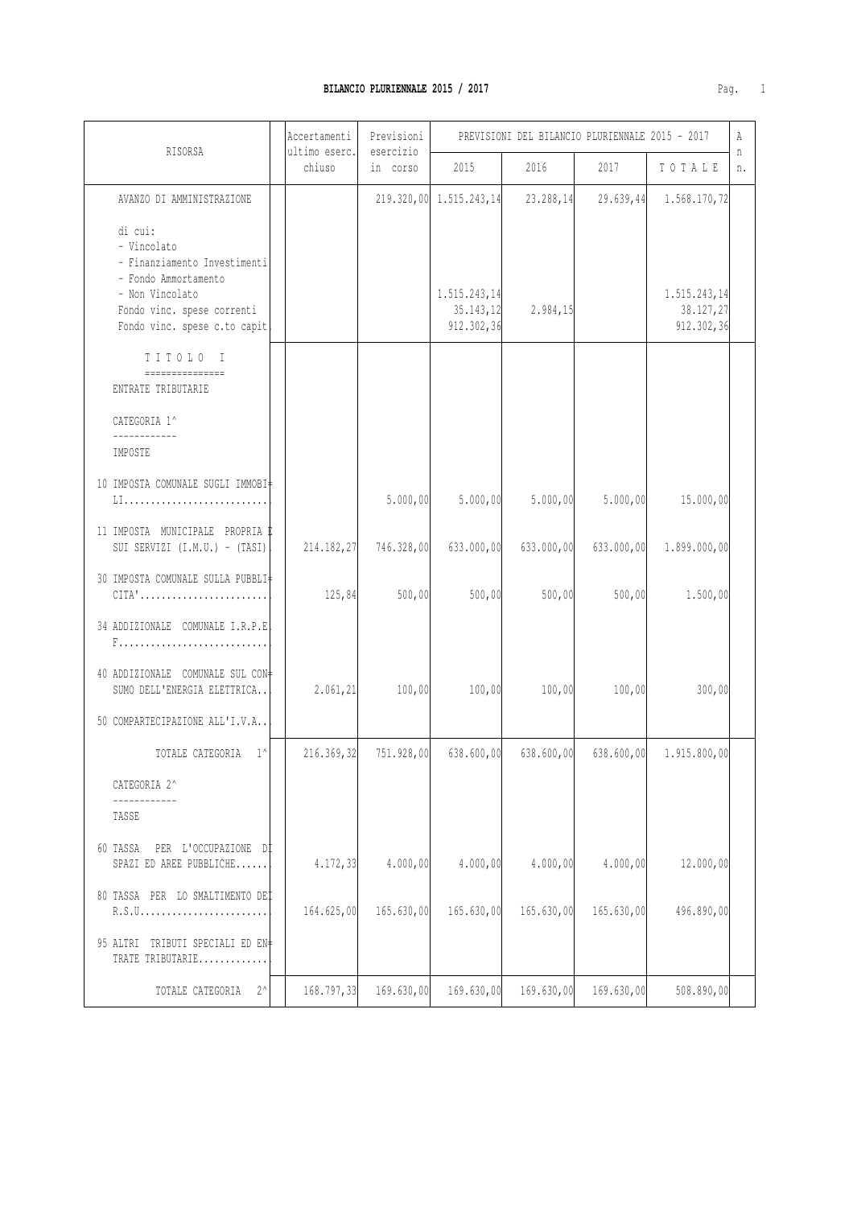| r<br>υ. | ٠ |  |
|---------|---|--|

|                                                                                                                                                                 | Accertamenti            | Previsioni            | PREVISIONI DEL BILANCIO PLURIENNALE 2015 - 2017 |            |            |                                         | Α       |
|-----------------------------------------------------------------------------------------------------------------------------------------------------------------|-------------------------|-----------------------|-------------------------------------------------|------------|------------|-----------------------------------------|---------|
| RISORSA                                                                                                                                                         | ultimo eserc.<br>chiuso | esercizio<br>in corso | 2015                                            | 2016       | 2017       | TOTALE                                  | n<br>n. |
| AVANZO DI AMMINISTRAZIONE                                                                                                                                       |                         |                       | 219.320,00 1.515.243,14                         | 23.288,14  | 29.639,44  | 1.568.170,72                            |         |
| di cui:<br>- Vincolato<br>- Finanziamento Investimenti<br>- Fondo Ammortamento<br>- Non Vincolato<br>Fondo vinc. spese correnti<br>Fondo vinc. spese c.to capit |                         |                       | 1.515.243,14<br>35.143, 12<br>912.302,36        | 2.984, 15  |            | 1.515.243,14<br>38.127,27<br>912.302,36 |         |
| TITOLO I<br>ENTRATE TRIBUTARIE                                                                                                                                  |                         |                       |                                                 |            |            |                                         |         |
| CATEGORIA 1^                                                                                                                                                    |                         |                       |                                                 |            |            |                                         |         |
| IMPOSTE                                                                                                                                                         |                         |                       |                                                 |            |            |                                         |         |
| 10 IMPOSTA COMUNALE SUGLI IMMOBI‡<br>LI                                                                                                                         |                         | 5.000,00              | 5.000,00                                        | 5.000,00   | 5.000,00   | 15.000,00                               |         |
| 11 IMPOSTA MUNICIPALE PROPRIA E<br>SUI SERVIZI (I.M.U.) - (TASI)                                                                                                | 214.182,27              | 746.328,00            | 633.000,00                                      | 633.000,00 | 633.000,00 | 1.899.000,00                            |         |
| 30 IMPOSTA COMUNALE SULLA PUBBLI<br>$CITA'$                                                                                                                     | 125,84                  | 500,00                | 500,00                                          | 500,00     | 500,00     | 1.500,00                                |         |
| 34 ADDIZIONALE COMUNALE I.R.P.E                                                                                                                                 |                         |                       |                                                 |            |            |                                         |         |
| 40 ADDIZIONALE COMUNALE SUL CON+<br>SUMO DELL'ENERGIA ELETTRICA                                                                                                 | 2.061, 21               | 100,00                | 100,00                                          | 100,00     | 100,00     | 300,00                                  |         |
| 50 COMPARTECIPAZIONE ALL'I.V.A                                                                                                                                  |                         |                       |                                                 |            |            |                                         |         |
| TOTALE CATEGORIA 1^                                                                                                                                             | 216.369,32              | 751.928,00            | 638.600,00                                      | 638.600,00 | 638.600,00 | 1.915.800,00                            |         |
| CATEGORIA 2^<br>------------                                                                                                                                    |                         |                       |                                                 |            |            |                                         |         |
| TASSE                                                                                                                                                           |                         |                       |                                                 |            |            |                                         |         |
| 60 TASSA<br>PER L'OCCUPAZIONE DI<br>SPAZI ED AREE PUBBLICHE                                                                                                     | 4.172,33                | 4.000,00              | 4.000,00                                        | 4.000,00   | 4.000,00   | 12.000,00                               |         |
| 80 TASSA PER LO SMALTIMENTO DEI                                                                                                                                 | 164.625,00              | 165.630,00            | 165.630,00                                      | 165.630,00 | 165.630,00 | 496.890,00                              |         |
| 95 ALTRI TRIBUTI SPECIALI ED EN‡<br>TRATE TRIBUTARIE                                                                                                            |                         |                       |                                                 |            |            |                                         |         |
| $2^{\wedge}$<br>TOTALE CATEGORIA                                                                                                                                | 168.797,33              | 169.630,00            | 169.630,00                                      | 169.630,00 | 169.630,00 | 508.890,00                              |         |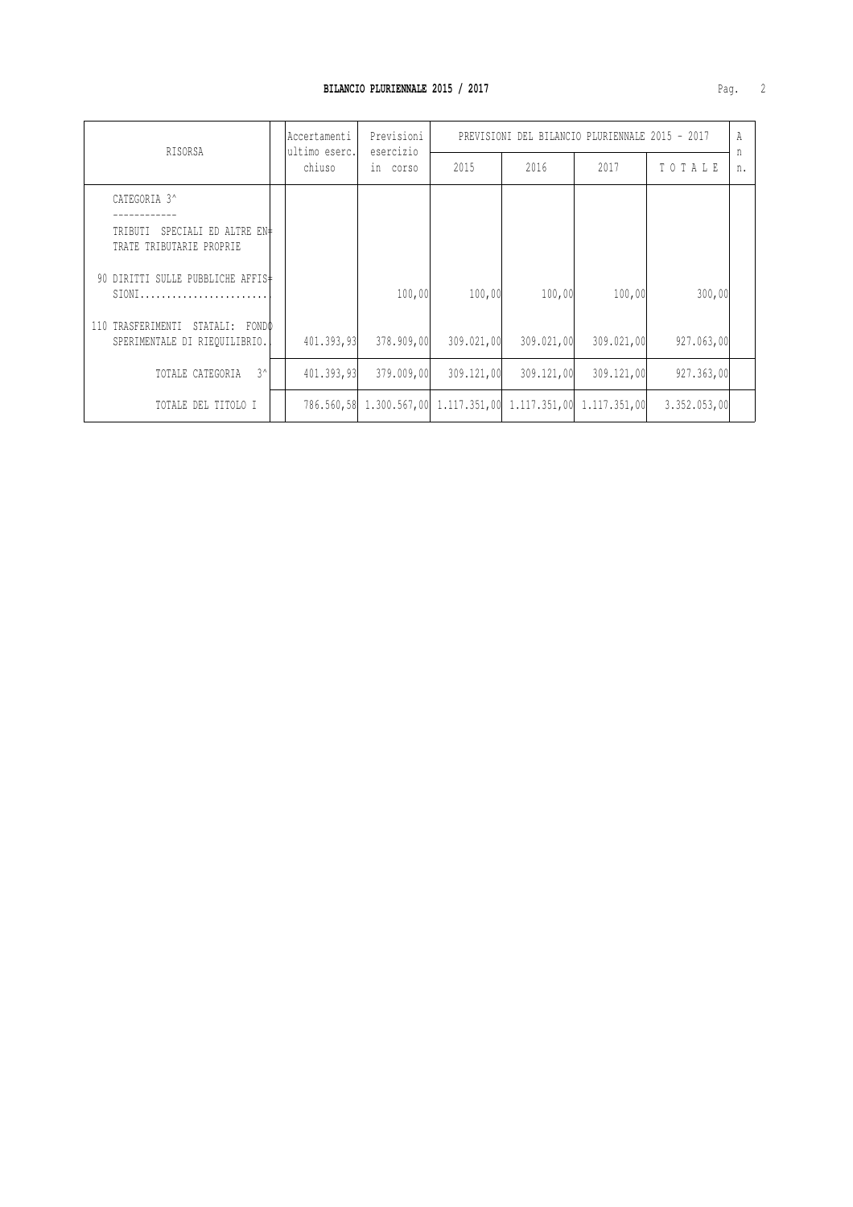| RISORSA                                                              |  | Accertamenti<br>ultimo eserc. | Previsioni<br>esercizio | PREVISIONI DEL BILANCIO PLURIENNALE 2015 - 2017                |            |            |              | A       |
|----------------------------------------------------------------------|--|-------------------------------|-------------------------|----------------------------------------------------------------|------------|------------|--------------|---------|
|                                                                      |  | chiuso                        | in corso                | 2015                                                           | 2016       | 2017       | TOTALE       | n<br>n. |
| CATEGORIA 3^                                                         |  |                               |                         |                                                                |            |            |              |         |
| TRIBUTI SPECIALI ED ALTRE EN#<br>TRATE TRIBUTARIE PROPRIE            |  |                               |                         |                                                                |            |            |              |         |
| 90 DIRITTI SULLE PUBBLICHE AFFIS‡<br>$SIONI$                         |  |                               | 100,00                  | 100,00                                                         | 100,00     | 100,00     | 300,00       |         |
| TRASFERIMENTI STATALI: FONDO<br>110<br>SPERIMENTALE DI RIEQUILIBRIO. |  | 401,393,93                    | 378,909,00              | 309.021,00                                                     | 309.021,00 | 309.021,00 | 927.063,00   |         |
| $3^{\wedge}$<br>TOTALE CATEGORIA                                     |  | 401.393,93                    | 379,009,00              | 309.121,00                                                     | 309,121,00 | 309,121,00 | 927.363,00   |         |
| TOTALE DEL TITOLO I                                                  |  |                               |                         | 786.560,58 1.300.567,00 1.117.351,00 1.117.351,00 1.117.351,00 |            |            | 3.352.053,00 |         |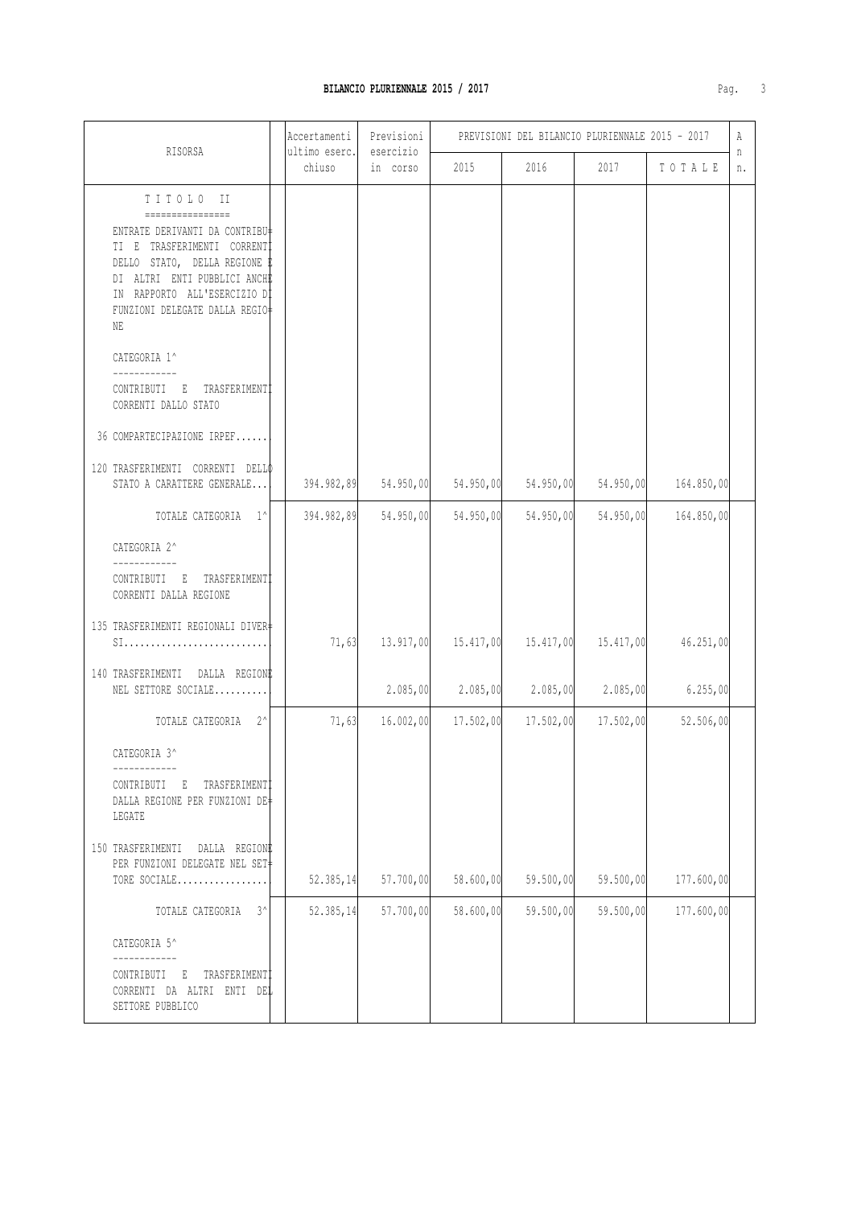#### BILANCIO PLURIENNALE 2015 / 2017

| RISORSA                                                                                                                                                                                                                                                                                                                                    | Accertamenti<br>ultimo eserc. | Previsioni<br>esercizio | PREVISIONI DEL BILANCIO PLURIENNALE 2015 - 2017 |           |           |            |         |
|--------------------------------------------------------------------------------------------------------------------------------------------------------------------------------------------------------------------------------------------------------------------------------------------------------------------------------------------|-------------------------------|-------------------------|-------------------------------------------------|-----------|-----------|------------|---------|
|                                                                                                                                                                                                                                                                                                                                            | chiuso                        | in corso                | 2015                                            | 2016      | 2017      | TOTALE     | n<br>n. |
| TITOLO II<br>================<br>ENTRATE DERIVANTI DA CONTRIBU‡<br>TI E TRASFERIMENTI CORRENTI<br>DELLO STATO, DELLA REGIONE E<br>DI ALTRI ENTI PUBBLICI ANCHE<br>IN RAPPORTO ALL'ESERCIZIO DI<br>FUNZIONI DELEGATE DALLA REGIO+<br>NE<br>CATEGORIA 1^<br>CONTRIBUTI E TRASFERIMENTI<br>CORRENTI DALLO STATO<br>36 COMPARTECIPAZIONE IRPEF |                               |                         |                                                 |           |           |            |         |
| 120 TRASFERIMENTI CORRENTI DELLO<br>STATO A CARATTERE GENERALE                                                                                                                                                                                                                                                                             | 394.982,89                    | 54.950,00               | 54.950,00                                       | 54.950,00 | 54.950,00 | 164.850,00 |         |
| TOTALE CATEGORIA 1^                                                                                                                                                                                                                                                                                                                        | 394.982,89                    | 54.950,00               | 54.950,00                                       | 54.950,00 | 54.950,00 | 164.850,00 |         |
| CATEGORIA 2^<br>CONTRIBUTI E TRASFERIMENTI<br>CORRENTI DALLA REGIONE                                                                                                                                                                                                                                                                       |                               |                         |                                                 |           |           |            |         |
| 135 TRASFERIMENTI REGIONALI DIVER+<br>SI                                                                                                                                                                                                                                                                                                   | 71,63                         | 13.917,00               | 15.417,00                                       | 15.417,00 | 15.417,00 | 46.251,00  |         |
| 140 TRASFERIMENTI DALLA REGIONE<br>NEL SETTORE SOCIALE                                                                                                                                                                                                                                                                                     |                               | 2.085,00                | 2.085,00                                        | 2.085,00  | 2.085,00  | 6.255,00   |         |
| TOTALE CATEGORIA 2^                                                                                                                                                                                                                                                                                                                        | 71,63                         | 16.002,00               | 17.502,00                                       | 17.502,00 | 17.502,00 | 52.506,00  |         |
| CATEGORIA 3^<br>___________<br>CONTRIBUTI E TRASFERIMENTI<br>DALLA REGIONE PER FUNZIONI DE#<br>LEGATE<br>150 TRASFERIMENTI DALLA REGIONE<br>PER FUNZIONI DELEGATE NEL SET+                                                                                                                                                                 |                               |                         |                                                 |           |           |            |         |
| TORE SOCIALE                                                                                                                                                                                                                                                                                                                               | 52.385, 14                    | 57.700,00               | 58.600,00                                       | 59.500,00 | 59.500,00 | 177.600,00 |         |
| TOTALE CATEGORIA<br>$3^{\wedge}$<br>CATEGORIA 5^<br>CONTRIBUTI E TRASFERIMENTI<br>CORRENTI DA ALTRI ENTI DEL<br>SETTORE PUBBLICO                                                                                                                                                                                                           | 52.385, 14                    | 57.700,00               | 58.600,00                                       | 59.500,00 | 59.500,00 | 177.600,00 |         |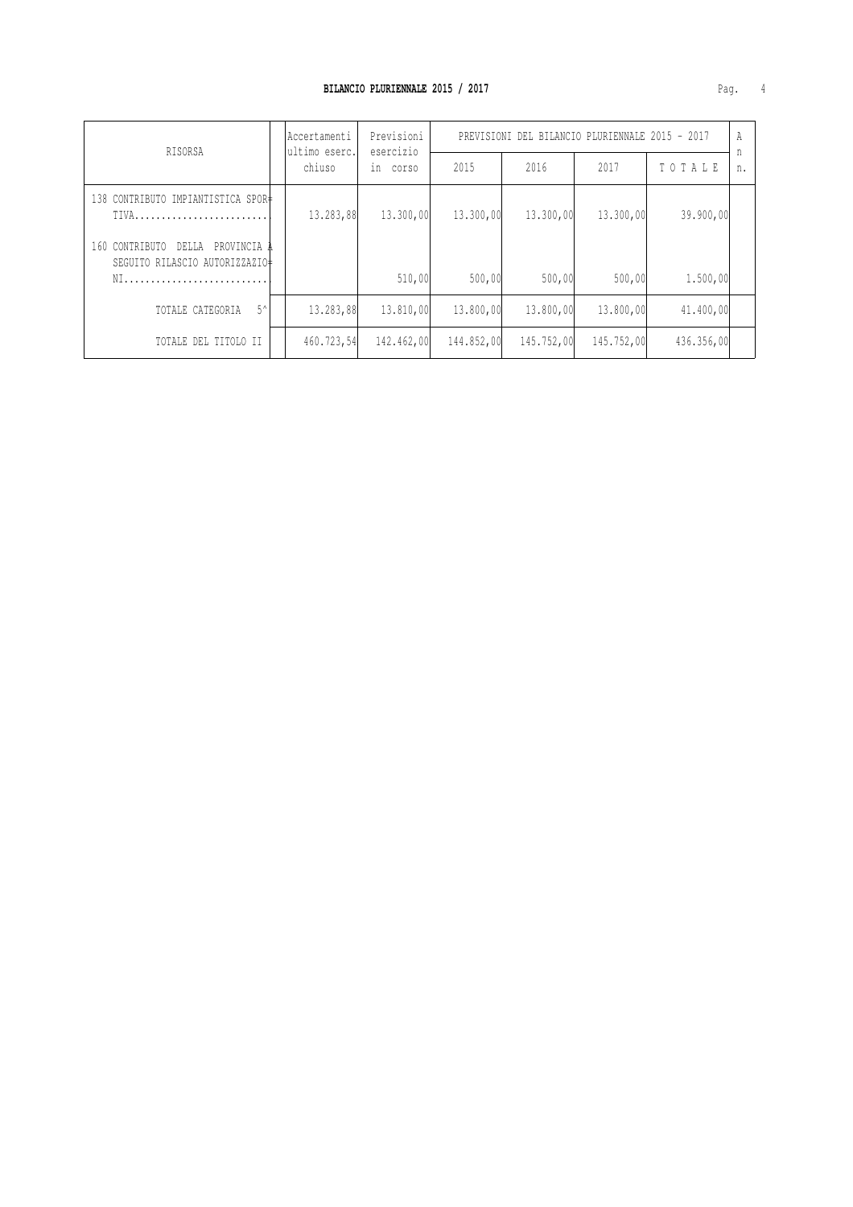| RISORSA                                                                        |  | lAccertamenti<br>ultimo eserc. | Previsioni<br>esercizio | PREVISIONI DEL BILANCIO PLURIENNALE 2015 - 2017 |            |            |            |         |
|--------------------------------------------------------------------------------|--|--------------------------------|-------------------------|-------------------------------------------------|------------|------------|------------|---------|
|                                                                                |  | chiuso                         | in<br>corso             | 2015                                            | 2016       | 2017       | TOTALE     | n<br>n. |
| 138 CONTRIBUTO IMPIANTISTICA SPOR <sup>+</sup>                                 |  | 13.283,88                      | 13,300,00               | 13,300,00                                       | 13.300,00  | 13,300,00  | 39,900,00  |         |
| 160 CONTRIBUTO<br>DELLA<br>PROVINCIA A<br>SEGUITO RILASCIO AUTORIZZAZIO#<br>NI |  |                                | 510,00                  | 500,00                                          | 500,00     | 500,00     | 1,500,00   |         |
| $5^{\wedge}$<br>TOTALE CATEGORIA                                               |  | 13.283,88                      | 13,810,00               | 13,800,00                                       | 13,800,00  | 13,800,00  | 41,400,00  |         |
| TOTALE DEL TITOLO II                                                           |  | 460.723,54                     | 142,462,00              | 144.852,00                                      | 145.752,00 | 145.752,00 | 436.356,00 |         |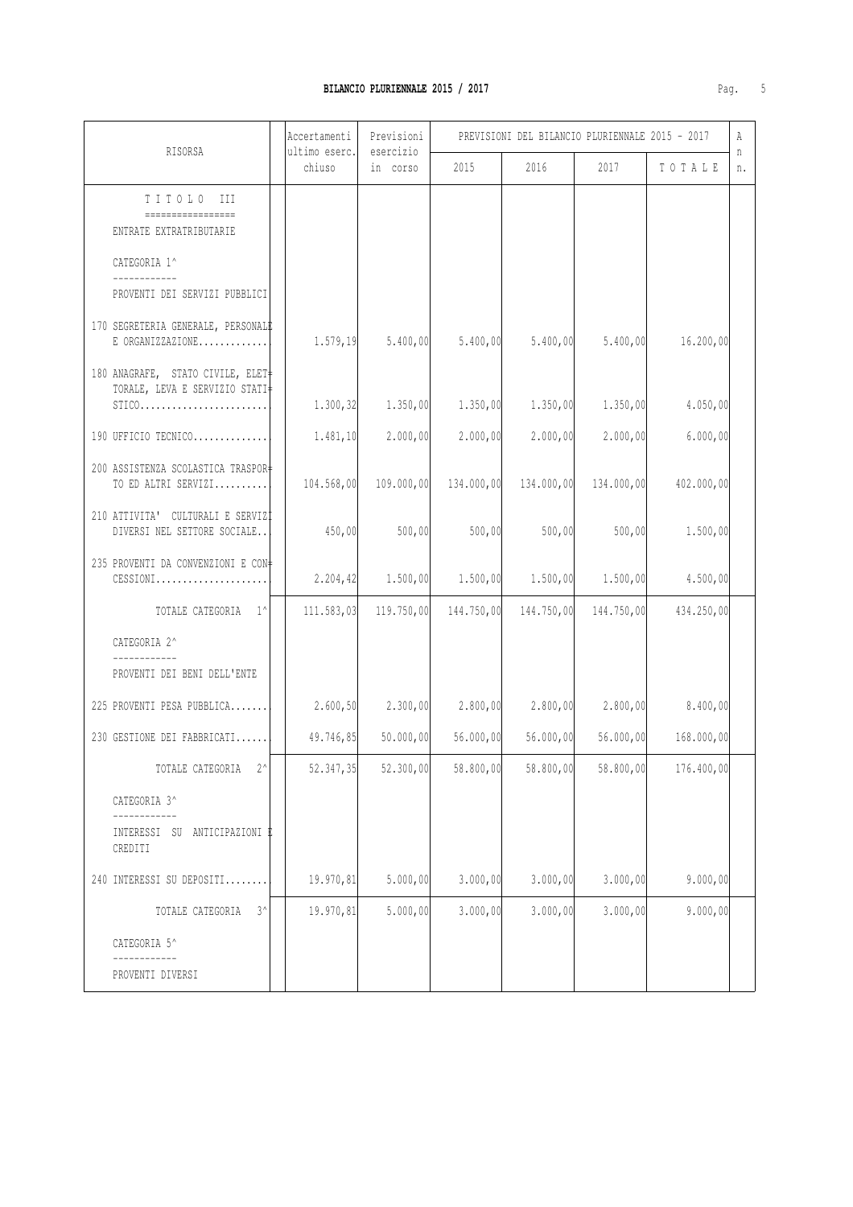## **BILANCIO PLURIENNALE 2015 / 2017 Pag. 5.6 (2017)**

|  | I |
|--|---|
|  |   |

| RISORSA                                                                       | Accertamenti<br>ultimo eserc. | Previsioni<br>esercizio | PREVISIONI DEL BILANCIO PLURIENNALE 2015 - 2017 |            |                       |            | Α       |
|-------------------------------------------------------------------------------|-------------------------------|-------------------------|-------------------------------------------------|------------|-----------------------|------------|---------|
|                                                                               | chiuso                        | in corso                | 2015                                            | 2016       | 2017                  | TOTALE     | n<br>n. |
| TITOLO III<br>.                                                               |                               |                         |                                                 |            |                       |            |         |
| ENTRATE EXTRATRIBUTARIE                                                       |                               |                         |                                                 |            |                       |            |         |
| CATEGORIA 1^                                                                  |                               |                         |                                                 |            |                       |            |         |
| PROVENTI DEI SERVIZI PUBBLICI                                                 |                               |                         |                                                 |            |                       |            |         |
| 170 SEGRETERIA GENERALE, PERSONALE<br>E ORGANIZZAZIONE                        | 1.579, 19                     | 5.400,00                | 5.400,00                                        | 5.400,00   | 5.400,00              | 16.200,00  |         |
| 180 ANAGRAFE, STATO CIVILE, ELET<br>TORALE, LEVA E SERVIZIO STATI<br>$STICO.$ | 1.300, 32                     | 1.350,00                | 1.350,00                                        | 1.350,00   | 1.350,00              | 4.050,00   |         |
| 190 UFFICIO TECNICO                                                           | 1.481, 10                     | 2.000,00                | 2.000,00                                        | 2.000,00   | 2.000,00              | 6.000,00   |         |
|                                                                               |                               |                         |                                                 |            |                       |            |         |
| 200 ASSISTENZA SCOLASTICA TRASPOR+<br>TO ED ALTRI SERVIZI                     | 104.568,00                    | 109.000,00              | 134.000,00                                      |            | 134.000,00 134.000,00 | 402.000,00 |         |
| 210 ATTIVITA' CULTURALI E SERVIZI<br>DIVERSI NEL SETTORE SOCIALE              | 450,00                        | 500,00                  | 500,00                                          | 500,00     | 500,00                | 1.500,00   |         |
| 235 PROVENTI DA CONVENZIONI E CON+<br>$CESSIONI$                              | 2.204, 42                     | 1.500,00                | 1.500,00                                        | 1.500,00   | 1.500,00              | 4.500,00   |         |
| TOTALE CATEGORIA 1^                                                           | 111.583,03                    | 119.750,00              | 144.750,00                                      | 144.750,00 | 144.750,00            | 434.250,00 |         |
| CATEGORIA 2^                                                                  |                               |                         |                                                 |            |                       |            |         |
| PROVENTI DEI BENI DELL'ENTE                                                   |                               |                         |                                                 |            |                       |            |         |
| 225 PROVENTI PESA PUBBLICA                                                    | 2.600, 50                     | 2.300,00                | 2.800,00                                        |            | $2.800,00$ $2.800,00$ | 8.400,00   |         |
| 230 GESTIONE DEI FABBRICATI                                                   | 49.746,85                     | 50.000,00               | 56.000,00                                       | 56.000,00  | 56.000,00             | 168.000,00 |         |
| TOTALE CATEGORIA<br>- 2^                                                      | 52.347,35                     | 52,300,00               | 58.800,00                                       | 58.800,00  | 58.800,00             | 176.400,00 |         |
| CATEGORIA 3^                                                                  |                               |                         |                                                 |            |                       |            |         |
| INTERESSI SU ANTICIPAZIONI I<br>CREDITI                                       |                               |                         |                                                 |            |                       |            |         |
| 240 INTERESSI SU DEPOSITI                                                     | 19.970,81                     | 5.000,00                | 3.000,00                                        | 3.000,00   | 3.000,00              | 9.000,00   |         |
| TOTALE CATEGORIA<br>$3^{\wedge}$                                              | 19.970,81                     | 5.000,00                | 3.000,00                                        | 3.000,00   | 3.000,00              | 9.000,00   |         |
| CATEGORIA 5^                                                                  |                               |                         |                                                 |            |                       |            |         |
| PROVENTI DIVERSI                                                              |                               |                         |                                                 |            |                       |            |         |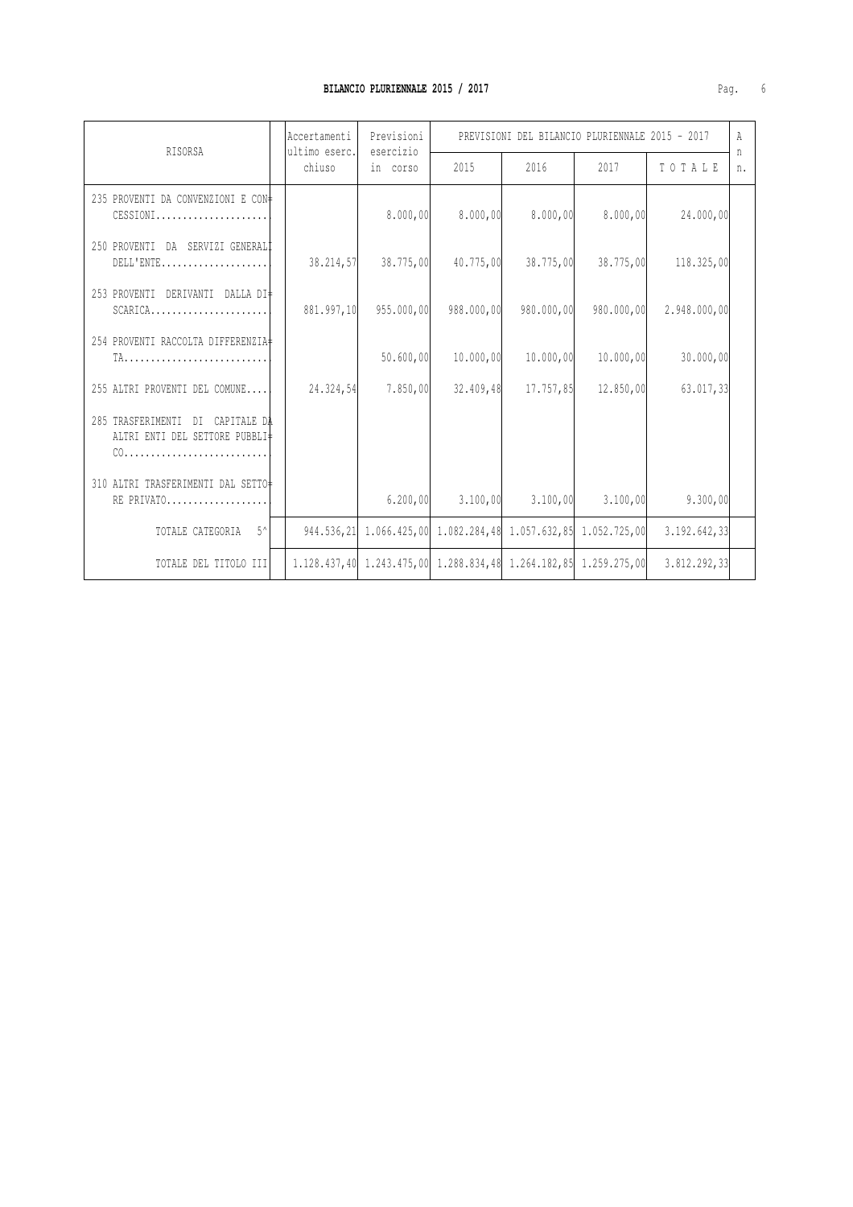| RISORSA                                                                                   | Previsioni<br>Accertamenti<br>ultimo eserc.<br>esercizio |            | PREVISIONI DEL BILANCIO PLURIENNALE 2015 - 2017                                 |            |            |              | Α       |
|-------------------------------------------------------------------------------------------|----------------------------------------------------------|------------|---------------------------------------------------------------------------------|------------|------------|--------------|---------|
|                                                                                           | chiuso                                                   | in corso   | 2015                                                                            | 2016       | 2017       | TOTALE       | n<br>n. |
| 235 PROVENTI DA CONVENZIONI E CON+<br>$CESSIONI$                                          |                                                          | 8.000,00   | 8.000,00                                                                        | 8.000,00   | 8.000,00   | 24.000,00    |         |
| 250 PROVENTI DA SERVIZI GENERALI<br>$DELL'ENTE \ldots \ldots \ldots \ldots \ldots \ldots$ | 38.214,57                                                | 38.775,00  | 40.775,00                                                                       | 38.775,00  | 38.775,00  | 118.325,00   |         |
| 253 PROVENTI DERIVANTI DALLA DI+<br>$SCARICA$                                             | 881.997,10                                               | 955,000,00 | 988,000,00                                                                      | 980.000,00 | 980.000,00 | 2.948.000,00 |         |
| 254 PROVENTI RACCOLTA DIFFERENZIA                                                         |                                                          | 50.600,00  | 10.000,00                                                                       | 10.000,00  | 10.000,00  | 30,000,00    |         |
| 255 ALTRI PROVENTI DEL COMUNE                                                             | 24.324,54                                                | 7.850,00   | 32.409,48                                                                       | 17.757,85  | 12.850,00  | 63,017,33    |         |
| 285 TRASFERIMENTI DI CAPITALE DA<br>ALTRI ENTI DEL SETTORE PUBBLI‡                        |                                                          |            |                                                                                 |            |            |              |         |
| 310 ALTRI TRASFERIMENTI DAL SETTO<br>RE PRIVATO                                           |                                                          | 6.200,00   | 3.100,00                                                                        | 3.100,00   | 3.100,00   | 9.300,00     |         |
| $-5^{\circ}$<br>TOTALE CATEGORIA                                                          |                                                          |            | 944, 536, 21 1, 066, 425, 00 1, 082, 284, 48 1, 057, 632, 85 1, 052, 725, 00    |            |            | 3.192.642,33 |         |
| TOTALE DEL TITOLO III                                                                     |                                                          |            | 1, 128, 437, 40 1, 243, 475, 00 1, 288, 834, 48 1, 264, 182, 85 1, 259, 275, 00 |            |            | 3.812.292,33 |         |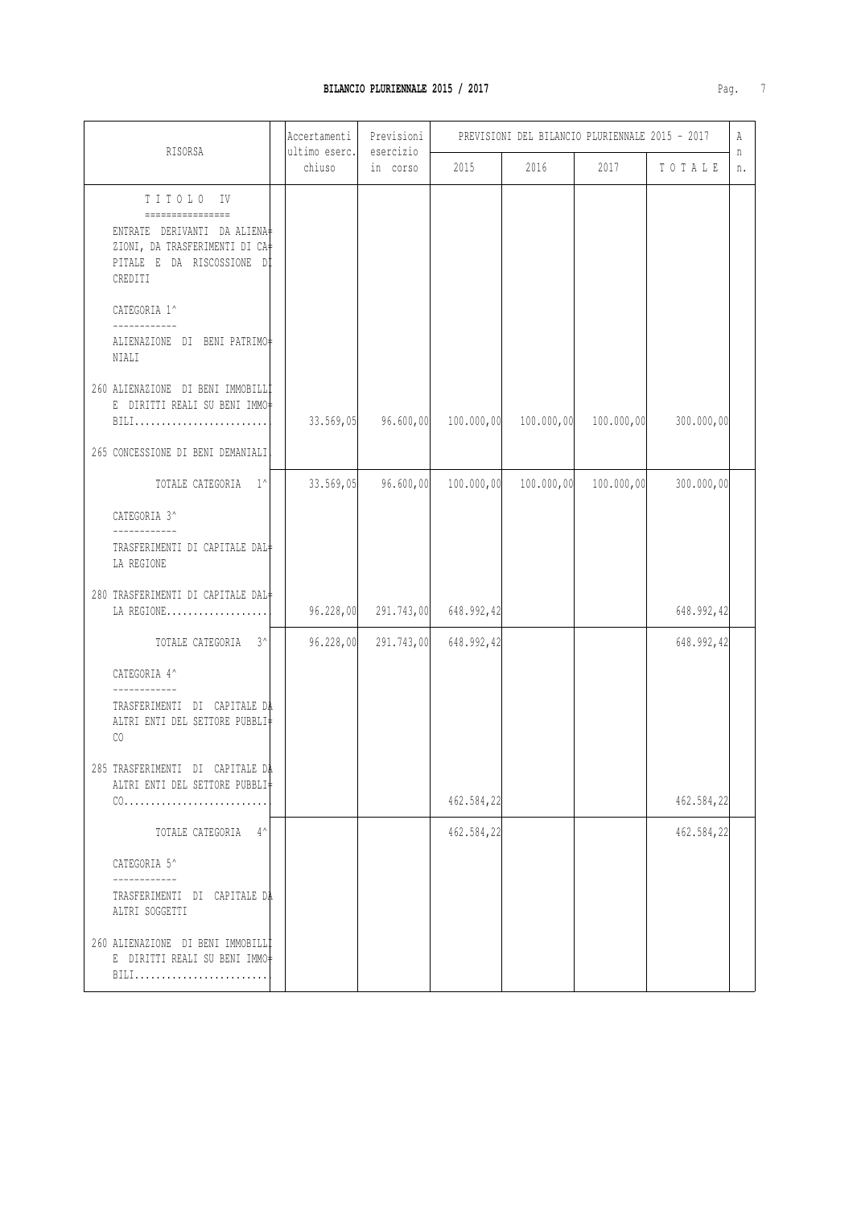| RISORSA                                                                                                                                 | Accertamenti<br>ultimo eserc. | Previsioni<br>esercizio | PREVISIONI DEL BILANCIO PLURIENNALE 2015 - 2017 |            |            |            |         |
|-----------------------------------------------------------------------------------------------------------------------------------------|-------------------------------|-------------------------|-------------------------------------------------|------------|------------|------------|---------|
|                                                                                                                                         | chiuso                        | in corso                | 2015                                            | 2016       | 2017       | TOTALE     | n<br>n. |
| TITOLO IV<br>================<br>ENTRATE DERIVANTI DA ALIENA<br>ZIONI, DA TRASFERIMENTI DI CA+<br>PITALE E DA RISCOSSIONE DI<br>CREDITI |                               |                         |                                                 |            |            |            |         |
| CATEGORIA 1^<br>------------<br>ALIENAZIONE DI BENI PATRIMO#<br>NIALI                                                                   |                               |                         |                                                 |            |            |            |         |
| 260 ALIENAZIONE DI BENI IMMOBILL <sup>†</sup><br>E DIRITTI REALI SU BENI IMMO‡<br>BILI<br>265 CONCESSIONE DI BENI DEMANIALI             | 33.569,05                     | 96.600,00               | 100.000,00                                      | 100.000,00 | 100.000,00 | 300.000,00 |         |
| TOTALE CATEGORIA 1^                                                                                                                     | 33.569,05                     | 96.600,00               | 100.000,00                                      | 100.000,00 | 100.000,00 | 300.000,00 |         |
| CATEGORIA 3^                                                                                                                            |                               |                         |                                                 |            |            |            |         |
| ____________<br>TRASFERIMENTI DI CAPITALE DAL#<br>LA REGIONE                                                                            |                               |                         |                                                 |            |            |            |         |
| 280 TRASFERIMENTI DI CAPITALE DAL+<br>LA REGIONE                                                                                        | 96.228,00                     | 291.743,00              | 648.992,42                                      |            |            | 648.992,42 |         |
| TOTALE CATEGORIA 3^                                                                                                                     | 96.228,00                     | 291.743,00              | 648.992,42                                      |            |            | 648.992,42 |         |
| CATEGORIA 4^<br>------------<br>TRASFERIMENTI DI CAPITALE DA<br>ALTRI ENTI DEL SETTORE PUBBLI‡<br>CO                                    |                               |                         |                                                 |            |            |            |         |
| 285 TRASFERIMENTI DI CAPITALE DA<br>ALTRI ENTI DEL SETTORE PUBBLI‡                                                                      |                               |                         | 462.584,22                                      |            |            | 462.584,22 |         |
| TOTALE CATEGORIA 4^                                                                                                                     |                               |                         | 462.584,22                                      |            |            | 462.584,22 |         |
| CATEGORIA 5^                                                                                                                            |                               |                         |                                                 |            |            |            |         |
| ___________<br>TRASFERIMENTI DI CAPITALE DA<br>ALTRI SOGGETTI                                                                           |                               |                         |                                                 |            |            |            |         |
| 260 ALIENAZIONE DI BENI IMMOBILLI<br>E DIRITTI REALI SU BENI IMMO-<br>BILI                                                              |                               |                         |                                                 |            |            |            |         |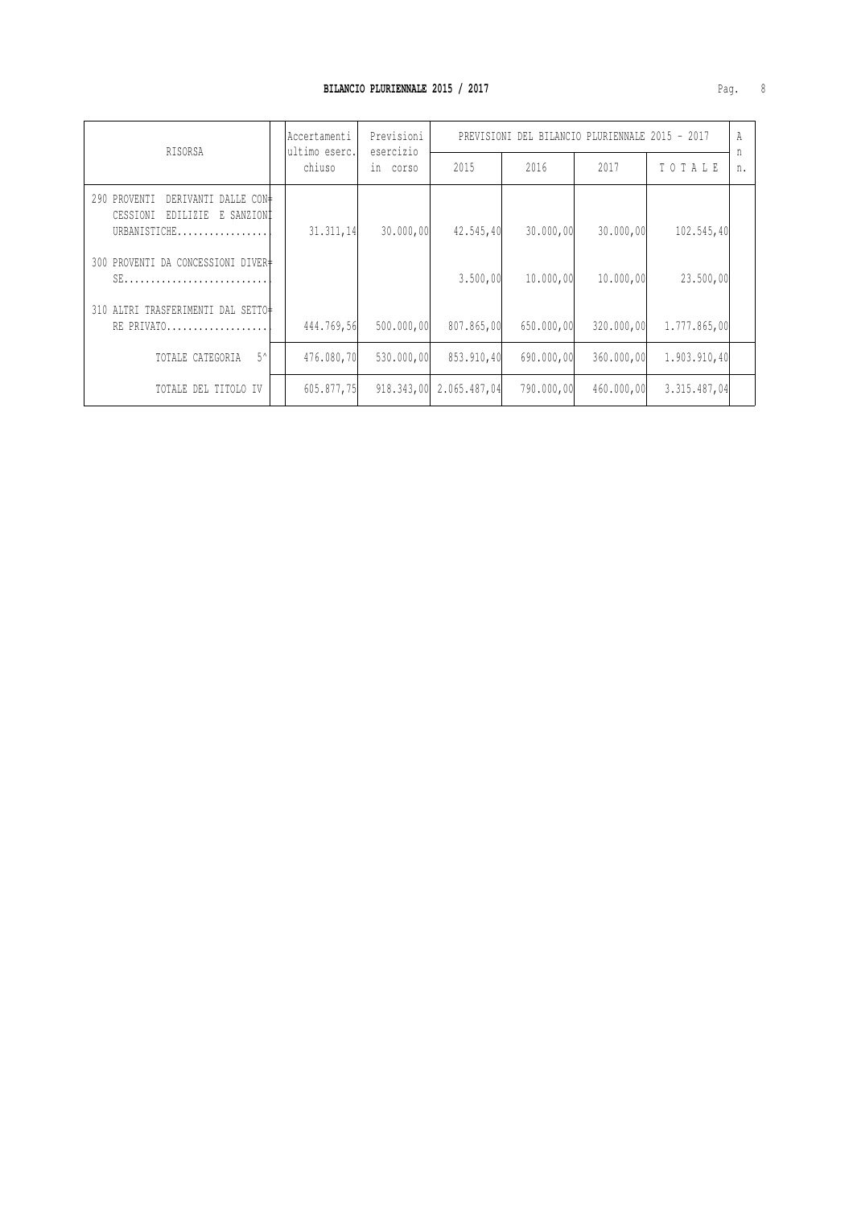| RISORSA                                                                                    |  | Accertamenti<br>ultimo eserc. | Previsioni<br>esercizio | PREVISIONI DEL BILANCIO PLURIENNALE 2015 - 2017 |            |            |              | A       |
|--------------------------------------------------------------------------------------------|--|-------------------------------|-------------------------|-------------------------------------------------|------------|------------|--------------|---------|
|                                                                                            |  | chiuso                        | in corso                | 2015                                            | 2016       | 2017       | TOTALE       | n<br>n. |
| DERIVANTI DALLE CON‡<br>290 PROVENTI<br>CESSIONI<br>E SANZIONI<br>EDILIZIE<br>URBANISTICHE |  | 31.311,14                     | 30.000,00               | 42.545,40                                       | 30.000,00  | 30,000,00  | 102.545,40   |         |
| 300 PROVENTI DA CONCESSIONI DIVER+<br>$SE$                                                 |  |                               |                         | 3.500,00                                        | 10,000,00  | 10,000,00  | 23,500,00    |         |
| 310 ALTRI TRASFERIMENTI DAL SETTO‡<br>RE PRIVATO                                           |  | 444.769,56                    | 500.000,00              | 807.865,00                                      | 650,000,00 | 320.000,00 | 1,777,865,00 |         |
| $5^{\wedge}$<br>TOTALE CATEGORIA                                                           |  | 476.080,70                    | 530,000,00              | 853.910,40                                      | 690,000,00 | 360,000,00 | 1.903.910,40 |         |
| TOTALE DEL TITOLO IV                                                                       |  | 605.877,75                    | 918, 343, 00            | 2.065.487,04                                    | 790,000,00 | 460,000,00 | 3.315.487,04 |         |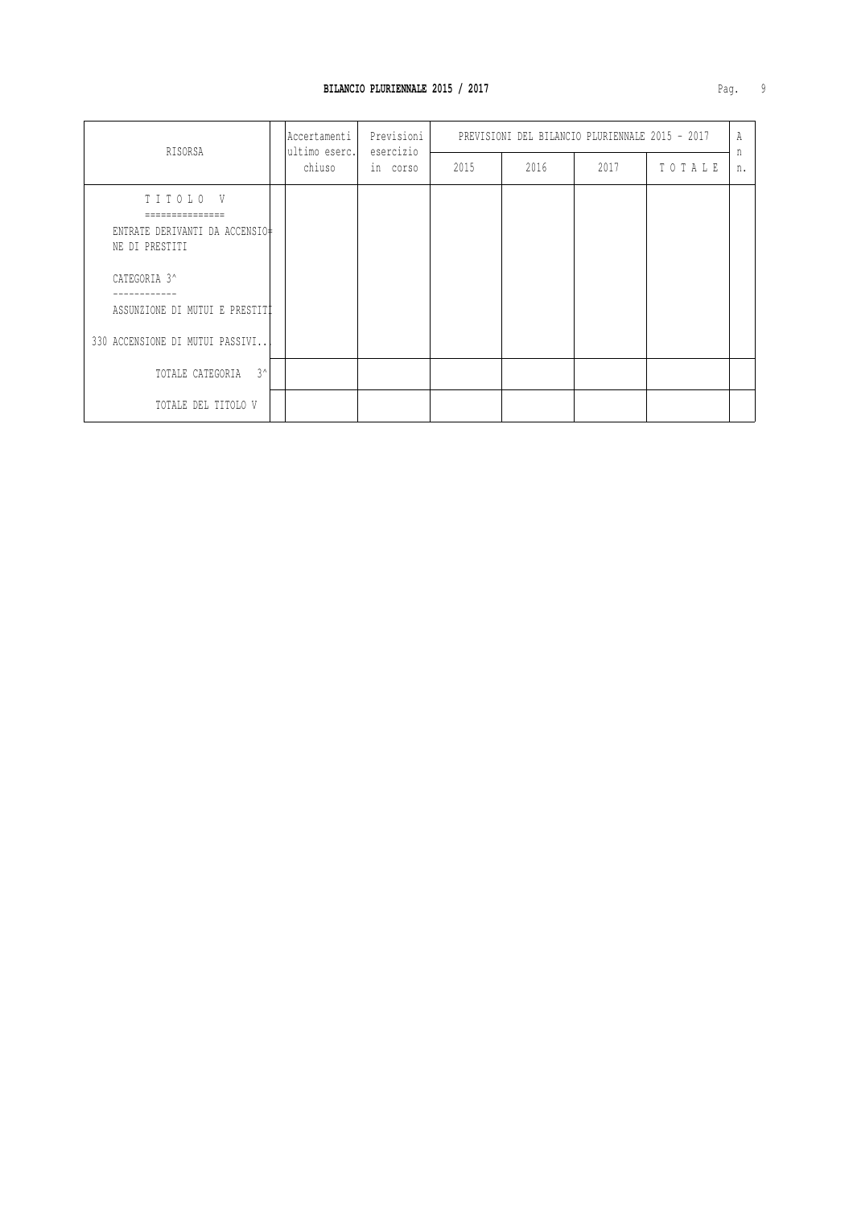| RISORSA                                                                                                                                           | Accertamenti<br>ultimo eserc.<br>chiuso | Previsioni<br>esercizio | PREVISIONI DEL BILANCIO PLURIENNALE 2015 - 2017 |      |      |        | Α       |
|---------------------------------------------------------------------------------------------------------------------------------------------------|-----------------------------------------|-------------------------|-------------------------------------------------|------|------|--------|---------|
|                                                                                                                                                   |                                         | in corso                | 2015                                            | 2016 | 2017 | TOTALE | n<br>n. |
| TITOLO V<br>ENTRATE DERIVANTI DA ACCENSIO‡<br>NE DI PRESTITI<br>CATEGORIA 3^<br>ASSUNZIONE DI MUTUI E PRESTITI<br>330 ACCENSIONE DI MUTUI PASSIVI |                                         |                         |                                                 |      |      |        |         |
| $3^{\wedge}$<br>TOTALE CATEGORIA                                                                                                                  |                                         |                         |                                                 |      |      |        |         |
| TOTALE DEL TITOLO V                                                                                                                               |                                         |                         |                                                 |      |      |        |         |